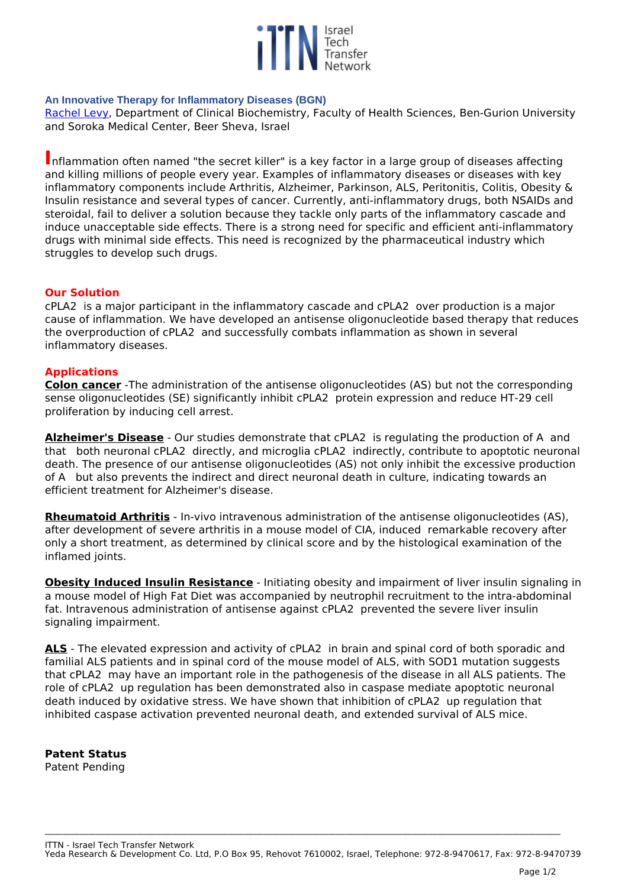

## **An Innovative Therapy for Inflammatory Diseases (BGN)**

*[Rachel Levy](http://profiler.bgu.ac.il/frontoffice/ShowUser.aspx?id=466), Department of Clinical Biochemistry, Faculty of Health Sciences, Ben-Gurion University and Soroka Medical Center, Beer Sheva, Israel*

**I***nflammation often named "the secret killer" is a key factor in a large group of diseases affecting and killing millions of people every year. Examples of inflammatory diseases or diseases with key inflammatory components include Arthritis, Alzheimer, Parkinson, ALS, Peritonitis, Colitis, Obesity & Insulin resistance and several types of cancer. Currently, anti-inflammatory drugs, both NSAIDs and steroidal, fail to deliver a solution because they tackle only parts of the inflammatory cascade and induce unacceptable side effects. There is a strong need for specific and efficient anti-inflammatory drugs with minimal side effects. This need is recognized by the pharmaceutical industry which struggles to develop such drugs.* 

## **Our Solution**

*cPLA2 is a major participant in the inflammatory cascade and cPLA2 over production is a major cause of inflammation. We have developed an antisense oligonucleotide based therapy that reduces the overproduction of cPLA2 and successfully combats inflammation as shown in several inflammatory diseases.* 

## **Applications**

**Colon cancer** *-The administration of the antisense oligonucleotides (AS) but not the corresponding sense oligonucleotides (SE) significantly inhibit cPLA2 protein expression and reduce HT-29 cell proliferation by inducing cell arrest.*

**Alzheimer's Disease** *- Our studies demonstrate that cPLA2 is regulating the production of A and that both neuronal cPLA2 directly, and microglia cPLA2 indirectly, contribute to apoptotic neuronal death. The presence of our antisense oligonucleotides (AS) not only inhibit the excessive production of A but also prevents the indirect and direct neuronal death in culture, indicating towards an efficient treatment for Alzheimer's disease.* 

**Rheumatoid Arthritis** *- In-vivo intravenous administration of the antisense oligonucleotides (AS), after development of severe arthritis in a mouse model of CIA, induced remarkable recovery after only a short treatment, as determined by clinical score and by the histological examination of the inflamed joints.* 

**Obesity Induced Insulin Resistance** *- Initiating obesity and impairment of liver insulin signaling in a mouse model of High Fat Diet was accompanied by neutrophil recruitment to the intra-abdominal fat. Intravenous administration of antisense against cPLA2 prevented the severe liver insulin signaling impairment.* 

**ALS** *- The elevated expression and activity of cPLA2 in brain and spinal cord of both sporadic and familial ALS patients and in spinal cord of the mouse model of ALS, with SOD1 mutation suggests that cPLA2 may have an important role in the pathogenesis of the disease in all ALS patients. The role of cPLA2 up regulation has been demonstrated also in caspase mediate apoptotic neuronal death induced by oxidative stress. We have shown that inhibition of cPLA2 up regulation that inhibited caspase activation prevented neuronal death, and extended survival of ALS mice.*

## **Patent Status**

*Patent Pending*

**\_\_\_\_\_\_\_\_\_\_\_\_\_\_\_\_\_\_\_\_\_\_\_\_\_\_\_\_\_\_\_\_\_\_\_\_\_\_\_\_\_\_\_\_\_\_\_\_\_\_\_\_\_\_\_\_\_\_\_\_\_\_\_\_\_\_\_\_\_\_\_\_\_\_\_\_\_\_\_\_\_\_\_\_\_\_\_\_\_\_\_\_\_\_\_\_\_\_\_\_\_\_\_\_\_\_\_\_\_\_\_\_\_\_\_\_\_\_\_\_\_\_\_\_\_\_\_\_\_\_\_\_\_\_\_\_\_\_\_\_\_\_\_\_\_\_\_\_\_\_\_\_\_\_\_\_\_\_\_\_\_\_\_**